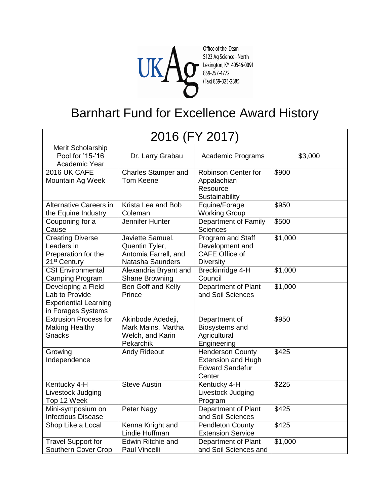

Office of the Dean S123 Ag Science - North<br>S123 Ag Science - North<br>Rexington, KY 40546-0091<br>(Fax) 859-323-2885

## Barnhart Fund for Excellence Award History

|                                                                                            | 2016 (FY 2017)                                                                 |                                                                                          |         |  |
|--------------------------------------------------------------------------------------------|--------------------------------------------------------------------------------|------------------------------------------------------------------------------------------|---------|--|
| Merit Scholarship<br>Pool for '15-'16<br>Academic Year                                     | Dr. Larry Grabau                                                               | Academic Programs                                                                        | \$3,000 |  |
| 2016 UK CAFE<br>Mountain Ag Week                                                           | <b>Charles Stamper and</b><br>Tom Keene                                        | Robinson Center for<br>Appalachian<br>Resource<br>Sustainability                         | \$900   |  |
| <b>Alternative Careers in</b><br>the Equine Industry                                       | Krista Lea and Bob<br>Coleman                                                  | Equine/Forage<br><b>Working Group</b>                                                    | \$950   |  |
| Couponing for a<br>Cause                                                                   | Jennifer Hunter                                                                | Department of Family<br><b>Sciences</b>                                                  | \$500   |  |
| <b>Creating Diverse</b><br>Leaders in<br>Preparation for the<br>21 <sup>st</sup> Century   | Javiette Samuel,<br>Quentin Tyler,<br>Antomia Farrell, and<br>Natasha Saunders | Program and Staff<br>Development and<br><b>CAFE Office of</b><br><b>Diversity</b>        | \$1,000 |  |
| <b>CSI Environmental</b><br>Camping Program                                                | Alexandria Bryant and<br>Shane Browning                                        | Breckinridge 4-H<br>Council                                                              | \$1,000 |  |
| Developing a Field<br>Lab to Provide<br><b>Experiential Learning</b><br>in Forages Systems | Ben Goff and Kelly<br>Prince                                                   | Department of Plant<br>and Soil Sciences                                                 | \$1,000 |  |
| <b>Extrusion Process for</b><br><b>Making Healthy</b><br><b>Snacks</b>                     | Akinbode Adedeji,<br>Mark Mains, Martha<br>Welch, and Karin<br>Pekarchik       | Department of<br>Biosystems and<br>Agricultural<br>Engineering                           | \$950   |  |
| Growing<br>Independence                                                                    | <b>Andy Rideout</b>                                                            | <b>Henderson County</b><br><b>Extension and Hugh</b><br><b>Edward Sandefur</b><br>Center | \$425   |  |
| Kentucky 4-H<br>Livestock Judging<br>Top 12 Week                                           | <b>Steve Austin</b>                                                            | Kentucky 4-H<br>Livestock Judging<br>Program                                             | \$225   |  |
| Mini-symposium on<br><b>Infectious Disease</b>                                             | <b>Peter Nagy</b>                                                              | Department of Plant<br>and Soil Sciences                                                 | \$425   |  |
| Shop Like a Local                                                                          | Kenna Knight and<br>Lindie Huffman                                             | <b>Pendleton County</b><br><b>Extension Service</b>                                      | \$425   |  |
| <b>Travel Support for</b><br>Southern Cover Crop                                           | Edwin Ritchie and<br>Paul Vincelli                                             | Department of Plant<br>and Soil Sciences and                                             | \$1,000 |  |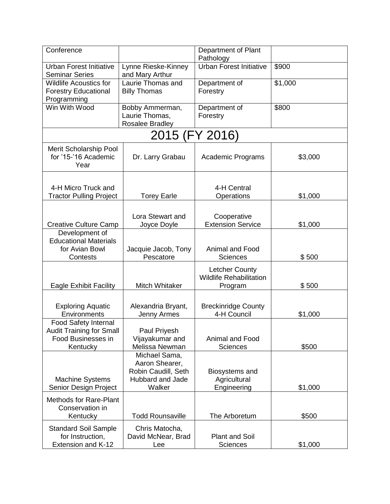| Conference                                                                                |                                                                                      | Department of Plant<br>Pathology                                   |         |
|-------------------------------------------------------------------------------------------|--------------------------------------------------------------------------------------|--------------------------------------------------------------------|---------|
| <b>Urban Forest Initiative</b><br><b>Seminar Series</b>                                   | Lynne Rieske-Kinney<br>and Mary Arthur                                               | <b>Urban Forest Initiative</b>                                     | \$900   |
| <b>Wildlife Acoustics for</b><br><b>Forestry Educational</b><br>Programming               | Laurie Thomas and<br><b>Billy Thomas</b>                                             | Department of<br>Forestry                                          | \$1,000 |
| Win With Wood                                                                             | Bobby Ammerman,<br>Laurie Thomas,<br>Rosalee Bradley                                 | Department of<br>Forestry                                          | \$800   |
|                                                                                           | 2015 (FY 2016)                                                                       |                                                                    |         |
| Merit Scholarship Pool<br>for '15-'16 Academic<br>Year                                    | Dr. Larry Grabau                                                                     | <b>Academic Programs</b>                                           | \$3,000 |
| 4-H Micro Truck and<br><b>Tractor Pulling Project</b>                                     | <b>Torey Earle</b>                                                                   | 4-H Central<br>Operations                                          | \$1,000 |
| <b>Creative Culture Camp</b>                                                              | Lora Stewart and<br>Joyce Doyle                                                      | Cooperative<br><b>Extension Service</b>                            | \$1,000 |
| Development of<br><b>Educational Materials</b><br>for Avian Bowl<br>Contests              | Jacquie Jacob, Tony<br>Pescatore                                                     | <b>Animal and Food</b><br><b>Sciences</b>                          | \$500   |
| <b>Eagle Exhibit Facility</b>                                                             | Mitch Whitaker                                                                       | <b>Letcher County</b><br><b>Wildlife Rehabilitation</b><br>Program | \$500   |
| <b>Exploring Aquatic</b><br>Environments                                                  | Alexandria Bryant,<br>Jenny Armes                                                    | <b>Breckinridge County</b><br>4-H Council                          | \$1,000 |
| Food Safety Internal<br><b>Audit Training for Small</b><br>Food Businesses in<br>Kentucky | Paul Priyesh<br>Vijayakumar and<br>Melissa Newman                                    | <b>Animal and Food</b><br><b>Sciences</b>                          | \$500   |
| <b>Machine Systems</b><br>Senior Design Project                                           | Michael Sama,<br>Aaron Shearer,<br>Robin Caudill, Seth<br>Hubbard and Jade<br>Walker | Biosystems and<br>Agricultural<br>Engineering                      | \$1,000 |
| <b>Methods for Rare-Plant</b><br>Conservation in<br>Kentucky                              | <b>Todd Rounsaville</b>                                                              | The Arboretum                                                      | \$500   |
| <b>Standard Soil Sample</b><br>for Instruction,<br>Extension and K-12                     | Chris Matocha,<br>David McNear, Brad<br>Lee                                          | <b>Plant and Soil</b><br><b>Sciences</b>                           | \$1,000 |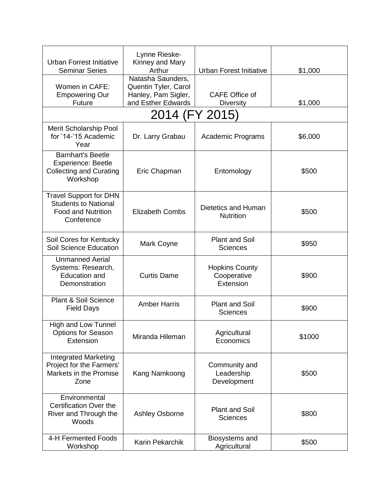| <b>Urban Forrest Initiative</b><br><b>Seminar Series</b>                                                | Lynne Rieske-<br>Kinney and Mary<br>Arthur                                             | <b>Urban Forest Initiative</b>                    | \$1,000 |
|---------------------------------------------------------------------------------------------------------|----------------------------------------------------------------------------------------|---------------------------------------------------|---------|
| Women in CAFE:<br><b>Empowering Our</b><br><b>Future</b>                                                | Natasha Saunders,<br>Quentin Tyler, Carol<br>Hanley, Pam Sigler,<br>and Esther Edwards | <b>CAFE Office of</b><br><b>Diversity</b>         | \$1,000 |
|                                                                                                         | 2014 (FY 2015)                                                                         |                                                   |         |
| Merit Scholarship Pool<br>for '14-'15 Academic<br>Year                                                  | Dr. Larry Grabau                                                                       | Academic Programs                                 | \$6,000 |
| <b>Barnhart's Beetle</b><br><b>Experience: Beetle</b><br><b>Collecting and Curating</b><br>Workshop     | Eric Chapman                                                                           | Entomology                                        | \$500   |
| <b>Travel Support for DHN</b><br><b>Students to National</b><br><b>Food and Nutrition</b><br>Conference | <b>Elizabeth Combs</b>                                                                 | Dietetics and Human<br><b>Nutrition</b>           | \$500   |
| Soil Cores for Kentucky<br>Soil Science Education                                                       | Mark Coyne                                                                             | <b>Plant and Soil</b><br><b>Sciences</b>          | \$950   |
| <b>Unmanned Aerial</b><br>Systems: Research,<br><b>Education and</b><br>Demonstration                   | <b>Curtis Dame</b>                                                                     | <b>Hopkins County</b><br>Cooperative<br>Extension | \$900   |
| Plant & Soil Science<br><b>Field Days</b>                                                               | <b>Amber Harris</b>                                                                    | <b>Plant and Soil</b><br><b>Sciences</b>          | \$900   |
| <b>High and Low Tunnel</b><br><b>Options for Season</b><br>Extension                                    | Miranda Hileman                                                                        | Agricultural<br>Economics                         | \$1000  |
| <b>Integrated Marketing</b><br>Project for the Farmers'<br>Markets in the Promise<br>Zone               | Kang Namkoong                                                                          | Community and<br>Leadership<br>Development        | \$500   |
| Environmental<br><b>Certification Over the</b><br>River and Through the<br>Woods                        | <b>Ashley Osborne</b>                                                                  | <b>Plant and Soil</b><br><b>Sciences</b>          | \$800   |
| 4-H Fermented Foods<br>Workshop                                                                         | Karin Pekarchik                                                                        | Biosystems and<br>Agricultural                    | \$500   |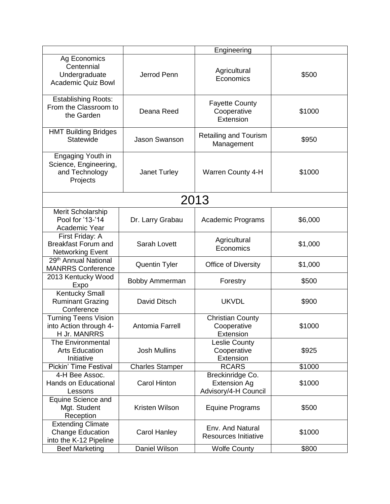|                                                                               |                        | Engineering                                                     |         |
|-------------------------------------------------------------------------------|------------------------|-----------------------------------------------------------------|---------|
| Ag Economics<br>Centennial<br>Undergraduate<br><b>Academic Quiz Bowl</b>      | Jerrod Penn            | Agricultural<br>Economics                                       | \$500   |
| <b>Establishing Roots:</b><br>From the Classroom to<br>the Garden             | Deana Reed             | <b>Fayette County</b><br>Cooperative<br>Extension               | \$1000  |
| <b>HMT Building Bridges</b><br>Statewide                                      | <b>Jason Swanson</b>   | <b>Retailing and Tourism</b><br>Management                      | \$950   |
| Engaging Youth in<br>Science, Engineering,<br>and Technology<br>Projects      | Janet Turley           | <b>Warren County 4-H</b>                                        | \$1000  |
|                                                                               |                        | 2013                                                            |         |
| Merit Scholarship<br>Pool for '13-'14<br>Academic Year                        | Dr. Larry Grabau       | Academic Programs                                               | \$6,000 |
| First Friday: A<br><b>Breakfast Forum and</b><br><b>Networking Event</b>      | Sarah Lovett           | Agricultural<br>Economics                                       | \$1,000 |
| 29 <sup>th</sup> Annual National<br><b>MANRRS Conference</b>                  | <b>Quentin Tyler</b>   | <b>Office of Diversity</b>                                      | \$1,000 |
| 2013 Kentucky Wood<br>Expo                                                    | <b>Bobby Ammerman</b>  | Forestry                                                        | \$500   |
| <b>Kentucky Small</b><br><b>Ruminant Grazing</b><br>Conference                | David Ditsch           | <b>UKVDL</b>                                                    | \$900   |
| <b>Turning Teens Vision</b><br>into Action through 4-<br><b>H Jr. MANRRS</b>  | Antomia Farrell        | Christian County<br>Cooperative<br>Extension                    | \$1000  |
| The Environmental<br><b>Arts Education</b><br>Initiative                      | <b>Josh Mullins</b>    | <b>Leslie County</b><br>Cooperative<br>Extension                | \$925   |
| Pickin' Time Festival                                                         | <b>Charles Stamper</b> | <b>RCARS</b>                                                    | \$1000  |
| 4-H Bee Assoc.<br><b>Hands on Educational</b><br>Lessons                      | <b>Carol Hinton</b>    | Breckinridge Co.<br><b>Extension Ag</b><br>Advisory/4-H Council | \$1000  |
| Equine Science and<br>Mgt. Student<br>Reception                               | Kristen Wilson         | <b>Equine Programs</b>                                          | \$500   |
| <b>Extending Climate</b><br><b>Change Education</b><br>into the K-12 Pipeline | <b>Carol Hanley</b>    | Env. And Natural<br><b>Resources Initiative</b>                 | \$1000  |
| <b>Beef Marketing</b>                                                         | Daniel Wilson          | <b>Wolfe County</b>                                             | \$800   |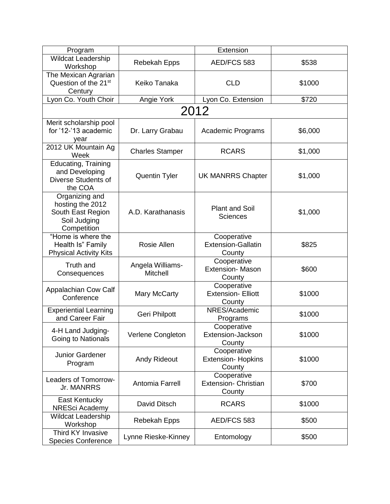| Program                                                                                |                              | Extension                                            |         |
|----------------------------------------------------------------------------------------|------------------------------|------------------------------------------------------|---------|
| Wildcat Leadership<br>Workshop                                                         | Rebekah Epps                 | AED/FCS 583                                          | \$538   |
| The Mexican Agrarian<br>Question of the 21 <sup>st</sup><br>Century                    | Keiko Tanaka                 | <b>CLD</b>                                           | \$1000  |
| Lyon Co. Youth Choir                                                                   | Angie York                   | Lyon Co. Extension                                   | \$720   |
|                                                                                        |                              | 2012                                                 |         |
| Merit scholarship pool<br>for '12-'13 academic<br>year                                 | Dr. Larry Grabau             | Academic Programs                                    | \$6,000 |
| 2012 UK Mountain Ag<br>Week                                                            | <b>Charles Stamper</b>       | <b>RCARS</b>                                         | \$1,000 |
| Educating, Training<br>and Developing<br>Diverse Students of<br>the COA                | <b>Quentin Tyler</b>         | <b>UK MANRRS Chapter</b>                             | \$1,000 |
| Organizing and<br>hosting the 2012<br>South East Region<br>Soil Judging<br>Competition | A.D. Karathanasis            | <b>Plant and Soil</b><br><b>Sciences</b>             | \$1,000 |
| "Home is where the<br>Health Is" Family<br><b>Physical Activity Kits</b>               | Rosie Allen                  | Cooperative<br><b>Extension-Gallatin</b><br>County   | \$825   |
| <b>Truth and</b><br>Consequences                                                       | Angela Williams-<br>Mitchell | Cooperative<br><b>Extension- Mason</b><br>County     | \$600   |
| Appalachian Cow Calf<br>Conference                                                     | Mary McCarty                 | Cooperative<br><b>Extension- Elliott</b><br>County   | \$1000  |
| <b>Experiential Learning</b><br>and Career Fair                                        | Geri Philpott                | NRES/Academic<br>Programs                            | \$1000  |
| 4-H Land Judging-<br>Going to Nationals                                                | Verlene Congleton            | Cooperative<br>Extension-Jackson<br>County           | \$1000  |
| Junior Gardener<br>Program                                                             | <b>Andy Rideout</b>          | Cooperative<br><b>Extension- Hopkins</b><br>County   | \$1000  |
| Leaders of Tomorrow-<br>Jr. MANRRS                                                     | Antomia Farrell              | Cooperative<br><b>Extension- Christian</b><br>County | \$700   |
| East Kentucky<br>NRESci Academy                                                        | David Ditsch                 | <b>RCARS</b>                                         | \$1000  |
| <b>Wildcat Leadership</b><br>Workshop                                                  | Rebekah Epps                 | AED/FCS 583                                          | \$500   |
| Third KY Invasive<br><b>Species Conference</b>                                         | Lynne Rieske-Kinney          | Entomology                                           | \$500   |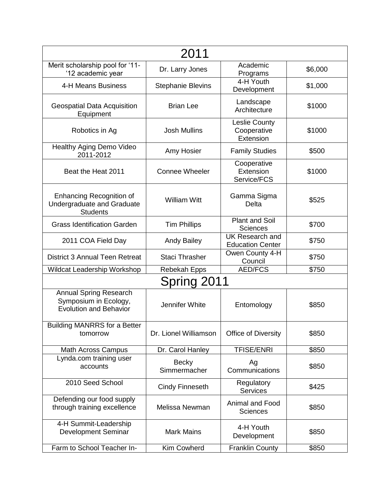|                                                                                         | 2011                         |                                                   |         |
|-----------------------------------------------------------------------------------------|------------------------------|---------------------------------------------------|---------|
| Merit scholarship pool for '11-<br>'12 academic year                                    | Dr. Larry Jones              | Academic<br>Programs                              | \$6,000 |
| 4-H Means Business                                                                      | <b>Stephanie Blevins</b>     | 4-H Youth<br>Development                          | \$1,000 |
| <b>Geospatial Data Acquisition</b><br>Equipment                                         | <b>Brian Lee</b>             | Landscape<br>Architecture                         | \$1000  |
| Robotics in Ag                                                                          | <b>Josh Mullins</b>          | Leslie County<br>Cooperative<br>Extension         | \$1000  |
| Healthy Aging Demo Video<br>2011-2012                                                   | Amy Hosier                   | <b>Family Studies</b>                             | \$500   |
| Beat the Heat 2011                                                                      | <b>Connee Wheeler</b>        | Cooperative<br>Extension<br>Service/FCS           | \$1000  |
| <b>Enhancing Recognition of</b><br>Undergraduate and Graduate<br><b>Students</b>        | <b>William Witt</b>          | Gamma Sigma<br>Delta                              | \$525   |
| <b>Grass Identification Garden</b>                                                      | <b>Tim Phillips</b>          | <b>Plant and Soil</b><br><b>Sciences</b>          | \$700   |
| 2011 COA Field Day                                                                      | <b>Andy Bailey</b>           | <b>UK</b> Research and<br><b>Education Center</b> | \$750   |
| <b>District 3 Annual Teen Retreat</b>                                                   | <b>Staci Thrasher</b>        | Owen County 4-H<br>Council                        | \$750   |
| Wildcat Leadership Workshop                                                             | Rebekah Epps                 | <b>AED/FCS</b>                                    | \$750   |
|                                                                                         | Spring 2011                  |                                                   |         |
| <b>Annual Spring Research</b><br>Symposium in Ecology,<br><b>Evolution and Behavior</b> | Jennifer White               | Entomology                                        | \$850   |
| <b>Building MANRRS for a Better</b><br>tomorrow                                         | Dr. Lionel Williamson        | Office of Diversity                               | \$850   |
| Math Across Campus                                                                      | Dr. Carol Hanley             | <b>TFISE/ENRI</b>                                 | \$850   |
| Lynda.com training user<br>accounts                                                     | <b>Becky</b><br>Simmermacher | Ag<br>Communications                              | \$850   |
| 2010 Seed School                                                                        | <b>Cindy Finneseth</b>       | Regulatory<br><b>Services</b>                     | \$425   |
| Defending our food supply<br>through training excellence                                | Melissa Newman               | Animal and Food<br><b>Sciences</b>                | \$850   |
| 4-H Summit-Leadership<br><b>Development Seminar</b>                                     | <b>Mark Mains</b>            | 4-H Youth<br>Development                          | \$850   |
| Farm to School Teacher In-                                                              | Kim Cowherd                  | <b>Franklin County</b>                            | \$850   |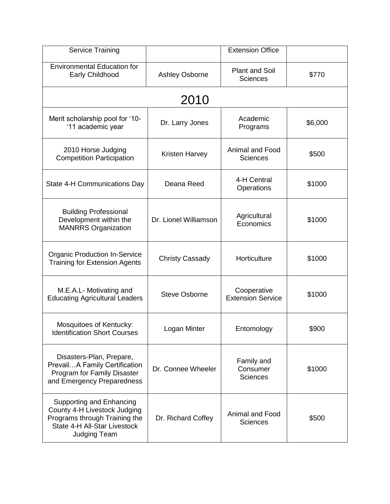| <b>Service Training</b>                                                                                                                          |                        | <b>Extension Office</b>                   |         |
|--------------------------------------------------------------------------------------------------------------------------------------------------|------------------------|-------------------------------------------|---------|
| <b>Environmental Education for</b><br>Early Childhood                                                                                            | <b>Ashley Osborne</b>  | <b>Plant and Soil</b><br><b>Sciences</b>  | \$770   |
|                                                                                                                                                  | 2010                   |                                           |         |
| Merit scholarship pool for '10-<br>'11 academic year                                                                                             | Dr. Larry Jones        | Academic<br>Programs                      | \$6,000 |
| 2010 Horse Judging<br><b>Competition Participation</b>                                                                                           | Kristen Harvey         | Animal and Food<br><b>Sciences</b>        | \$500   |
| State 4-H Communications Day                                                                                                                     | Deana Reed             | 4-H Central<br>Operations                 | \$1000  |
| <b>Building Professional</b><br>Development within the<br><b>MANRRS Organization</b>                                                             | Dr. Lionel Williamson  | Agricultural<br>Economics                 | \$1000  |
| <b>Organic Production In-Service</b><br><b>Training for Extension Agents</b>                                                                     | <b>Christy Cassady</b> | Horticulture                              | \$1000  |
| M.E.A.L- Motivating and<br><b>Educating Agricultural Leaders</b>                                                                                 | <b>Steve Osborne</b>   | Cooperative<br><b>Extension Service</b>   | \$1000  |
| Mosquitoes of Kentucky:<br><b>Identification Short Courses</b>                                                                                   | Logan Minter           | Entomology                                | \$900   |
| Disasters-Plan, Prepare,<br>PrevailA Family Certification<br>Program for Family Disaster<br>and Emergency Preparedness                           | Dr. Connee Wheeler     | Family and<br>Consumer<br><b>Sciences</b> | \$1000  |
| Supporting and Enhancing<br>County 4-H Livestock Judging<br>Programs through Training the<br>State 4-H All-Star Livestock<br><b>Judging Team</b> | Dr. Richard Coffey     | Animal and Food<br><b>Sciences</b>        | \$500   |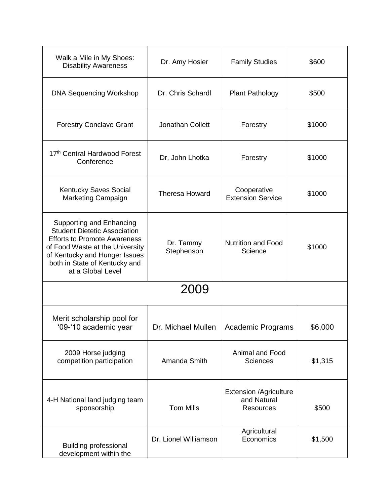| Walk a Mile in My Shoes:<br><b>Disability Awareness</b>                                                                                                                                                                          | Dr. Amy Hosier          | <b>Family Studies</b>                                            | \$600   |
|----------------------------------------------------------------------------------------------------------------------------------------------------------------------------------------------------------------------------------|-------------------------|------------------------------------------------------------------|---------|
| <b>DNA Sequencing Workshop</b>                                                                                                                                                                                                   | Dr. Chris Schardl       | <b>Plant Pathology</b>                                           | \$500   |
| <b>Forestry Conclave Grant</b>                                                                                                                                                                                                   | Jonathan Collett        | Forestry                                                         | \$1000  |
| 17th Central Hardwood Forest<br>Conference                                                                                                                                                                                       | Dr. John Lhotka         | Forestry                                                         | \$1000  |
| <b>Kentucky Saves Social</b><br>Marketing Campaign                                                                                                                                                                               | <b>Theresa Howard</b>   | Cooperative<br><b>Extension Service</b>                          | \$1000  |
| Supporting and Enhancing<br><b>Student Dietetic Association</b><br><b>Efforts to Promote Awareness</b><br>of Food Waste at the University<br>of Kentucky and Hunger Issues<br>both in State of Kentucky and<br>at a Global Level | Dr. Tammy<br>Stephenson | <b>Nutrition and Food</b><br>Science                             | \$1000  |
| 2009                                                                                                                                                                                                                             |                         |                                                                  |         |
| Merit scholarship pool for<br>'09-'10 academic year                                                                                                                                                                              | Dr. Michael Mullen      | <b>Academic Programs</b>                                         | \$6,000 |
| 2009 Horse judging<br>competition participation                                                                                                                                                                                  | Amanda Smith            | <b>Animal and Food</b><br><b>Sciences</b>                        | \$1,315 |
| 4-H National land judging team<br>sponsorship                                                                                                                                                                                    | <b>Tom Mills</b>        | <b>Extension /Agriculture</b><br>and Natural<br><b>Resources</b> | \$500   |
| <b>Building professional</b><br>development within the                                                                                                                                                                           | Dr. Lionel Williamson   | Agricultural<br>Economics                                        | \$1,500 |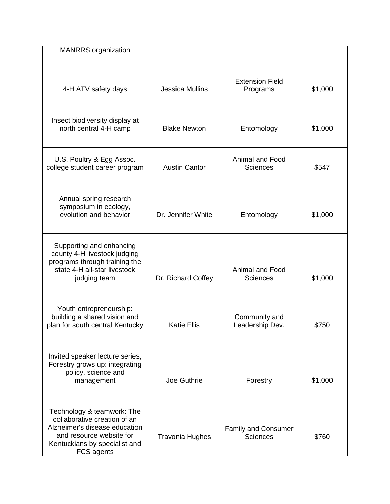| <b>MANRRS</b> organization                                                                                                                                             |                        |                                               |         |
|------------------------------------------------------------------------------------------------------------------------------------------------------------------------|------------------------|-----------------------------------------------|---------|
| 4-H ATV safety days                                                                                                                                                    | <b>Jessica Mullins</b> | <b>Extension Field</b><br>Programs            | \$1,000 |
| Insect biodiversity display at<br>north central 4-H camp                                                                                                               | <b>Blake Newton</b>    | Entomology                                    | \$1,000 |
| U.S. Poultry & Egg Assoc.<br>college student career program                                                                                                            | <b>Austin Cantor</b>   | Animal and Food<br><b>Sciences</b>            | \$547   |
| Annual spring research<br>symposium in ecology,<br>evolution and behavior                                                                                              | Dr. Jennifer White     | Entomology                                    | \$1,000 |
| Supporting and enhancing<br>county 4-H livestock judging<br>programs through training the<br>state 4-H all-star livestock<br>judging team                              | Dr. Richard Coffey     | Animal and Food<br><b>Sciences</b>            | \$1,000 |
| Youth entrepreneurship:<br>building a shared vision and<br>plan for south central Kentucky                                                                             | <b>Katie Ellis</b>     | Community and<br>Leadership Dev.              | \$750   |
| Invited speaker lecture series,<br>Forestry grows up: integrating<br>policy, science and<br>management                                                                 | Joe Guthrie            | Forestry                                      | \$1,000 |
| Technology & teamwork: The<br>collaborative creation of an<br>Alzheimer's disease education<br>and resource website for<br>Kentuckians by specialist and<br>FCS agents | <b>Travonia Hughes</b> | <b>Family and Consumer</b><br><b>Sciences</b> | \$760   |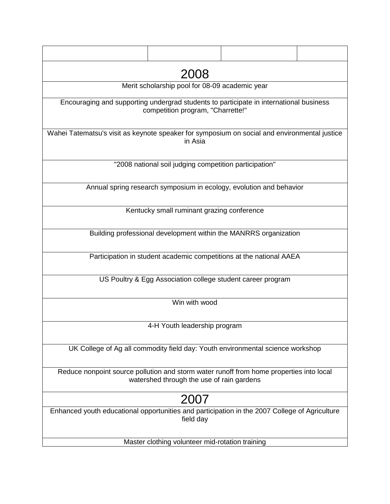|                                                                                               | 2008                                                        |                                                                     |  |
|-----------------------------------------------------------------------------------------------|-------------------------------------------------------------|---------------------------------------------------------------------|--|
|                                                                                               | Merit scholarship pool for 08-09 academic year              |                                                                     |  |
| Encouraging and supporting undergrad students to participate in international business        | competition program, "Charrette!"                           |                                                                     |  |
| Wahei Tatematsu's visit as keynote speaker for symposium on social and environmental justice  | in Asia                                                     |                                                                     |  |
|                                                                                               | "2008 national soil judging competition participation"      |                                                                     |  |
|                                                                                               |                                                             | Annual spring research symposium in ecology, evolution and behavior |  |
|                                                                                               | Kentucky small ruminant grazing conference                  |                                                                     |  |
|                                                                                               |                                                             | Building professional development within the MANRRS organization    |  |
|                                                                                               |                                                             | Participation in student academic competitions at the national AAEA |  |
|                                                                                               | US Poultry & Egg Association college student career program |                                                                     |  |
|                                                                                               | Win with wood                                               |                                                                     |  |
|                                                                                               | 4-H Youth leadership program                                |                                                                     |  |
| UK College of Ag all commodity field day: Youth environmental science workshop                |                                                             |                                                                     |  |
| Reduce nonpoint source pollution and storm water runoff from home properties into local       | watershed through the use of rain gardens                   |                                                                     |  |
|                                                                                               | 2007                                                        |                                                                     |  |
| Enhanced youth educational opportunities and participation in the 2007 College of Agriculture | field day                                                   |                                                                     |  |
|                                                                                               | Master clothing volunteer mid-rotation training             |                                                                     |  |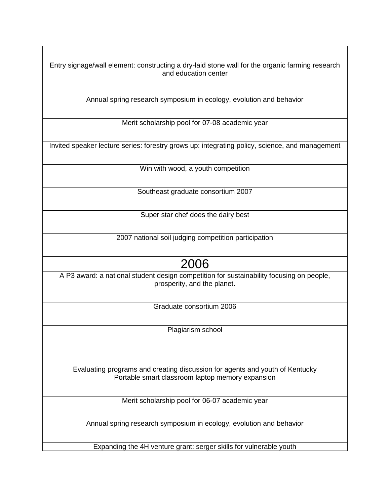Entry signage/wall element: constructing a dry-laid stone wall for the organic farming research and education center

Annual spring research symposium in ecology, evolution and behavior

Merit scholarship pool for 07-08 academic year

Invited speaker lecture series: forestry grows up: integrating policy, science, and management

Win with wood, a youth competition

Southeast graduate consortium 2007

Super star chef does the dairy best

2007 national soil judging competition participation

## 2006

A P3 award: a national student design competition for sustainability focusing on people, prosperity, and the planet.

Graduate consortium 2006

Plagiarism school

Evaluating programs and creating discussion for agents and youth of Kentucky Portable smart classroom laptop memory expansion

Merit scholarship pool for 06-07 academic year

Annual spring research symposium in ecology, evolution and behavior

Expanding the 4H venture grant: serger skills for vulnerable youth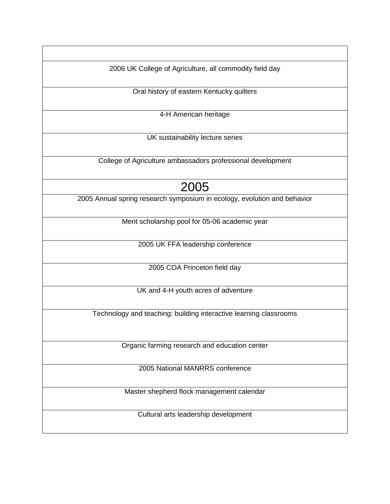2006 UK College of Agriculture, all commodity field day

Oral history of eastern Kentucky quilters

4-H American heritage

UK sustainability lecture series

College of Agriculture ambassadors professional development

## 2005

2005 Annual spring research symposium in ecology, evolution and behavior

Merit scholarship pool for 05-06 academic year

2005 UK FFA leadership conference

2005 COA Princeton field day

UK and 4-H youth acres of adventure

Technology and teaching: building interactive learning classrooms

Organic farming research and education center

2005 National MANRRS conference

Master shepherd flock management calendar

Cultural arts leadership development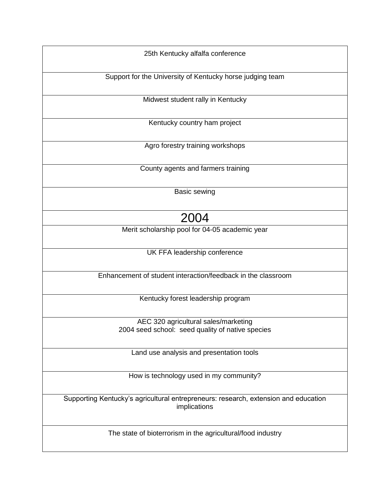| 25th Kentucky alfalfa conference                                                    |
|-------------------------------------------------------------------------------------|
|                                                                                     |
|                                                                                     |
| Support for the University of Kentucky horse judging team                           |
|                                                                                     |
| Midwest student rally in Kentucky                                                   |
|                                                                                     |
|                                                                                     |
| Kentucky country ham project                                                        |
|                                                                                     |
| Agro forestry training workshops                                                    |
|                                                                                     |
|                                                                                     |
| County agents and farmers training                                                  |
|                                                                                     |
|                                                                                     |
| <b>Basic sewing</b>                                                                 |
|                                                                                     |
| 2004                                                                                |
|                                                                                     |
| Merit scholarship pool for 04-05 academic year                                      |
|                                                                                     |
| UK FFA leadership conference                                                        |
|                                                                                     |
|                                                                                     |
| Enhancement of student interaction/feedback in the classroom                        |
|                                                                                     |
|                                                                                     |
| Kentucky forest leadership program                                                  |
|                                                                                     |
| AEC 320 agricultural sales/marketing                                                |
| 2004 seed school: seed quality of native species                                    |
|                                                                                     |
|                                                                                     |
| Land use analysis and presentation tools                                            |
|                                                                                     |
| How is technology used in my community?                                             |
|                                                                                     |
|                                                                                     |
| Supporting Kentucky's agricultural entrepreneurs: research, extension and education |
| implications                                                                        |
|                                                                                     |
|                                                                                     |
| The state of bioterrorism in the agricultural/food industry                         |
|                                                                                     |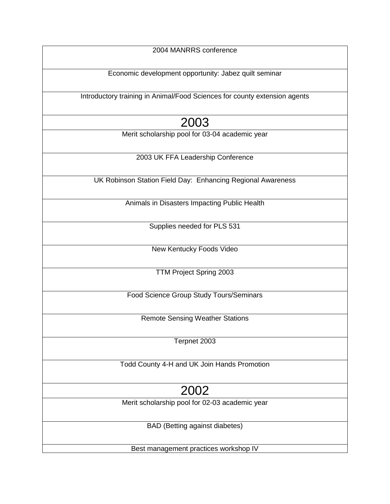| 2004 MANRRS conference                                                    |
|---------------------------------------------------------------------------|
|                                                                           |
| Economic development opportunity: Jabez quilt seminar                     |
|                                                                           |
| Introductory training in Animal/Food Sciences for county extension agents |
|                                                                           |
|                                                                           |
| 2003                                                                      |
| Merit scholarship pool for 03-04 academic year                            |
|                                                                           |
| 2003 UK FFA Leadership Conference                                         |
|                                                                           |
| UK Robinson Station Field Day: Enhancing Regional Awareness               |
|                                                                           |
| Animals in Disasters Impacting Public Health                              |
|                                                                           |
|                                                                           |
| Supplies needed for PLS 531                                               |
|                                                                           |
| New Kentucky Foods Video                                                  |
|                                                                           |
| TTM Project Spring 2003                                                   |
|                                                                           |
| Food Science Group Study Tours/Seminars                                   |
|                                                                           |
|                                                                           |
| <b>Remote Sensing Weather Stations</b>                                    |
|                                                                           |
| Terpnet 2003                                                              |
|                                                                           |
| Todd County 4-H and UK Join Hands Promotion                               |
|                                                                           |
|                                                                           |
| 2002                                                                      |
| Merit scholarship pool for 02-03 academic year                            |
|                                                                           |
| <b>BAD</b> (Betting against diabetes)                                     |
|                                                                           |
|                                                                           |
| Best management practices workshop IV                                     |